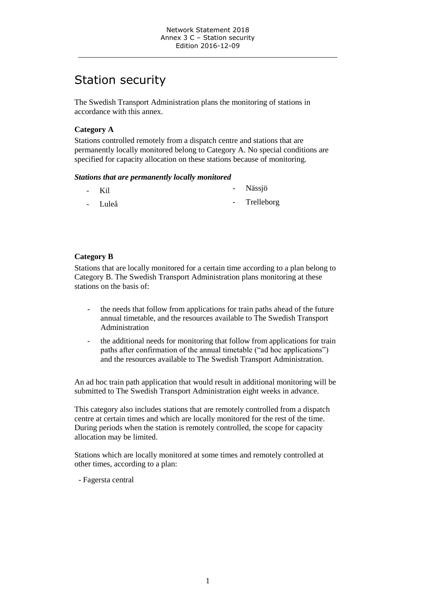\_\_\_\_\_\_\_\_\_\_\_\_\_\_\_\_\_\_\_\_\_\_\_\_\_\_\_\_\_\_\_\_\_\_\_\_\_\_\_\_\_\_\_\_\_\_\_\_\_\_\_\_\_\_\_\_\_\_\_\_\_\_\_\_\_

# Station security

The Swedish Transport Administration plans the monitoring of stations in accordance with this annex.

## **Category A**

Stations controlled remotely from a dispatch centre and stations that are permanently locally monitored belong to Category A. No special conditions are specified for capacity allocation on these stations because of monitoring.

#### *Stations that are permanently locally monitored*

| $-Ki1$  | - Nässjö     |
|---------|--------------|
| - Luleå | - Trelleborg |

# **Category B**

Stations that are locally monitored for a certain time according to a plan belong to Category B. The Swedish Transport Administration plans monitoring at these stations on the basis of:

- the needs that follow from applications for train paths ahead of the future annual timetable, and the resources available to The Swedish Transport Administration
- the additional needs for monitoring that follow from applications for train paths after confirmation of the annual timetable ("ad hoc applications") and the resources available to The Swedish Transport Administration.

An ad hoc train path application that would result in additional monitoring will be submitted to The Swedish Transport Administration eight weeks in advance.

This category also includes stations that are remotely controlled from a dispatch centre at certain times and which are locally monitored for the rest of the time. During periods when the station is remotely controlled, the scope for capacity allocation may be limited.

Stations which are locally monitored at some times and remotely controlled at other times, according to a plan:

- Fagersta central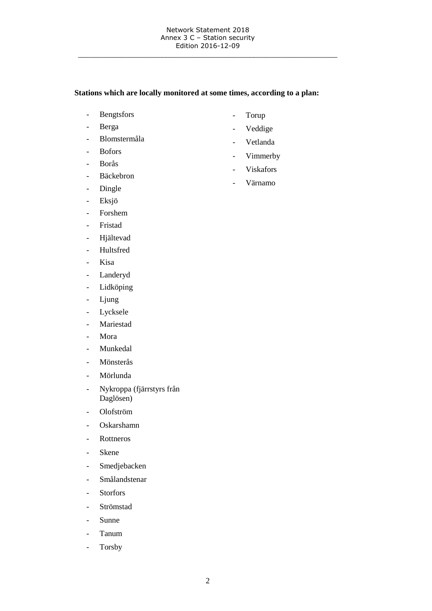\_\_\_\_\_\_\_\_\_\_\_\_\_\_\_\_\_\_\_\_\_\_\_\_\_\_\_\_\_\_\_\_\_\_\_\_\_\_\_\_\_\_\_\_\_\_\_\_\_\_\_\_\_\_\_\_\_\_\_\_\_\_\_\_\_

## **Stations which are locally monitored at some times, according to a plan:**

- Bengtsfors
- Berga
- Blomstermåla
- Bofors
- Borås
- Bäckebron
- Dingle
- Eksjö
- Forshem
- Fristad
- Hjältevad
- Hultsfred
- Kisa
- Landeryd
- Lidköping
- Ljung
- Lycksele
- Mariestad
- Mora
- Munkedal
- Mönsterås
- Mörlunda
- Nykroppa (fjärrstyrs från Daglösen)
- Olofström
- Oskarshamn
- Rottneros
- Skene
- Smedjebacken
- Smålandstenar
- Storfors
- Strömstad
- Sunne
- Tanum
- Torsby
- Torup
- Veddige
- Vetlanda
- Vimmerby
- Viskafors
- Värnamo